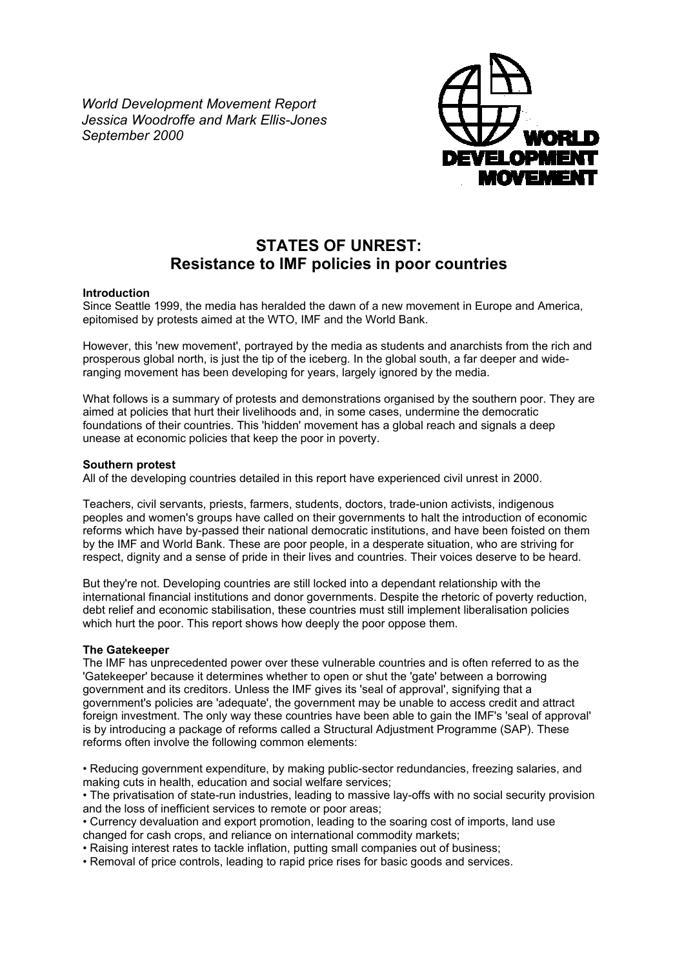*World Development Movement Report Jessica Woodroffe and Mark Ellis-Jones September 2000* 



# **STATES OF UNREST: Resistance to IMF policies in poor countries**

#### **Introduction**

Since Seattle 1999, the media has heralded the dawn of a new movement in Europe and America, epitomised by protests aimed at the WTO, IMF and the World Bank.

However, this 'new movement', portrayed by the media as students and anarchists from the rich and prosperous global north, is just the tip of the iceberg. In the global south, a far deeper and wideranging movement has been developing for years, largely ignored by the media.

What follows is a summary of protests and demonstrations organised by the southern poor. They are aimed at policies that hurt their livelihoods and, in some cases, undermine the democratic foundations of their countries. This 'hidden' movement has a global reach and signals a deep unease at economic policies that keep the poor in poverty.

#### **Southern protest**

All of the developing countries detailed in this report have experienced civil unrest in 2000.

Teachers, civil servants, priests, farmers, students, doctors, trade-union activists, indigenous peoples and women's groups have called on their governments to halt the introduction of economic reforms which have by-passed their national democratic institutions, and have been foisted on them by the IMF and World Bank. These are poor people, in a desperate situation, who are striving for respect, dignity and a sense of pride in their lives and countries. Their voices deserve to be heard.

But they're not. Developing countries are still locked into a dependant relationship with the international financial institutions and donor governments. Despite the rhetoric of poverty reduction, debt relief and economic stabilisation, these countries must still implement liberalisation policies which hurt the poor. This report shows how deeply the poor oppose them.

#### **The Gatekeeper**

The IMF has unprecedented power over these vulnerable countries and is often referred to as the 'Gatekeeper' because it determines whether to open or shut the 'gate' between a borrowing government and its creditors. Unless the IMF gives its 'seal of approval', signifying that a government's policies are 'adequate', the government may be unable to access credit and attract foreign investment. The only way these countries have been able to gain the IMF's 'seal of approval' is by introducing a package of reforms called a Structural Adjustment Programme (SAP). These reforms often involve the following common elements:

• Reducing government expenditure, by making public-sector redundancies, freezing salaries, and making cuts in health, education and social welfare services;

• The privatisation of state-run industries, leading to massive lay-offs with no social security provision and the loss of inefficient services to remote or poor areas;

• Currency devaluation and export promotion, leading to the soaring cost of imports, land use changed for cash crops, and reliance on international commodity markets;

- Raising interest rates to tackle inflation, putting small companies out of business;
- Removal of price controls, leading to rapid price rises for basic goods and services.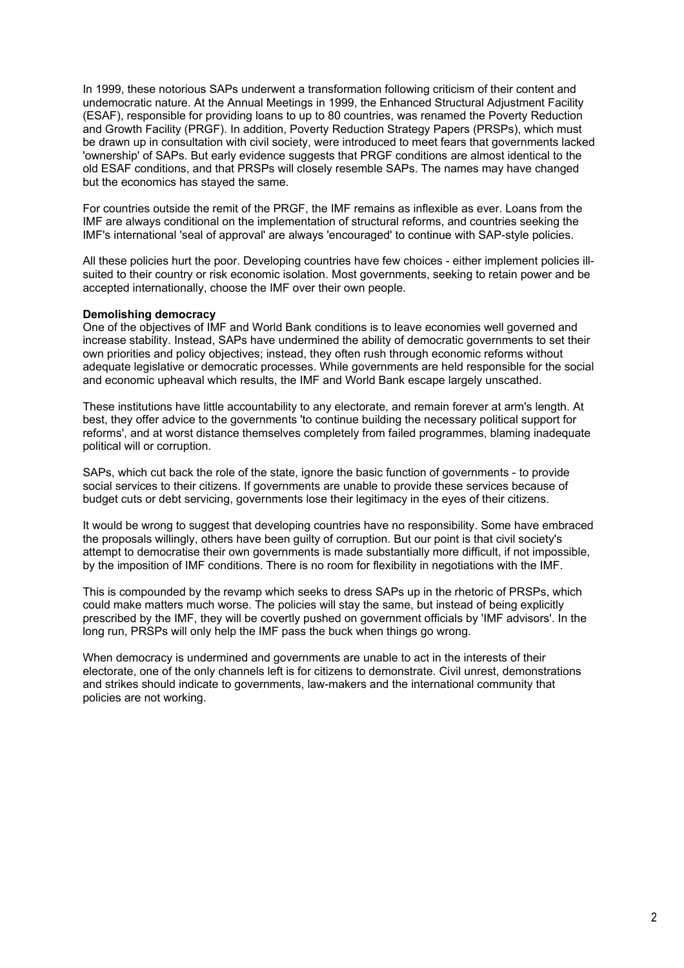In 1999, these notorious SAPs underwent a transformation following criticism of their content and undemocratic nature. At the Annual Meetings in 1999, the Enhanced Structural Adjustment Facility (ESAF), responsible for providing loans to up to 80 countries, was renamed the Poverty Reduction and Growth Facility (PRGF). In addition, Poverty Reduction Strategy Papers (PRSPs), which must be drawn up in consultation with civil society, were introduced to meet fears that governments lacked 'ownership' of SAPs. But early evidence suggests that PRGF conditions are almost identical to the old ESAF conditions, and that PRSPs will closely resemble SAPs. The names may have changed but the economics has stayed the same.

For countries outside the remit of the PRGF, the IMF remains as inflexible as ever. Loans from the IMF are always conditional on the implementation of structural reforms, and countries seeking the IMF's international 'seal of approval' are always 'encouraged' to continue with SAP-style policies.

All these policies hurt the poor. Developing countries have few choices - either implement policies illsuited to their country or risk economic isolation. Most governments, seeking to retain power and be accepted internationally, choose the IMF over their own people.

#### **Demolishing democracy**

One of the objectives of IMF and World Bank conditions is to leave economies well governed and increase stability. Instead, SAPs have undermined the ability of democratic governments to set their own priorities and policy objectives; instead, they often rush through economic reforms without adequate legislative or democratic processes. While governments are held responsible for the social and economic upheaval which results, the IMF and World Bank escape largely unscathed.

These institutions have little accountability to any electorate, and remain forever at arm's length. At best, they offer advice to the governments 'to continue building the necessary political support for reforms', and at worst distance themselves completely from failed programmes, blaming inadequate political will or corruption.

SAPs, which cut back the role of the state, ignore the basic function of governments - to provide social services to their citizens. If governments are unable to provide these services because of budget cuts or debt servicing, governments lose their legitimacy in the eyes of their citizens.

It would be wrong to suggest that developing countries have no responsibility. Some have embraced the proposals willingly, others have been guilty of corruption. But our point is that civil society's attempt to democratise their own governments is made substantially more difficult, if not impossible, by the imposition of IMF conditions. There is no room for flexibility in negotiations with the IMF.

This is compounded by the revamp which seeks to dress SAPs up in the rhetoric of PRSPs, which could make matters much worse. The policies will stay the same, but instead of being explicitly prescribed by the IMF, they will be covertly pushed on government officials by 'IMF advisors'. In the long run, PRSPs will only help the IMF pass the buck when things go wrong.

When democracy is undermined and governments are unable to act in the interests of their electorate, one of the only channels left is for citizens to demonstrate. Civil unrest, demonstrations and strikes should indicate to governments, law-makers and the international community that policies are not working.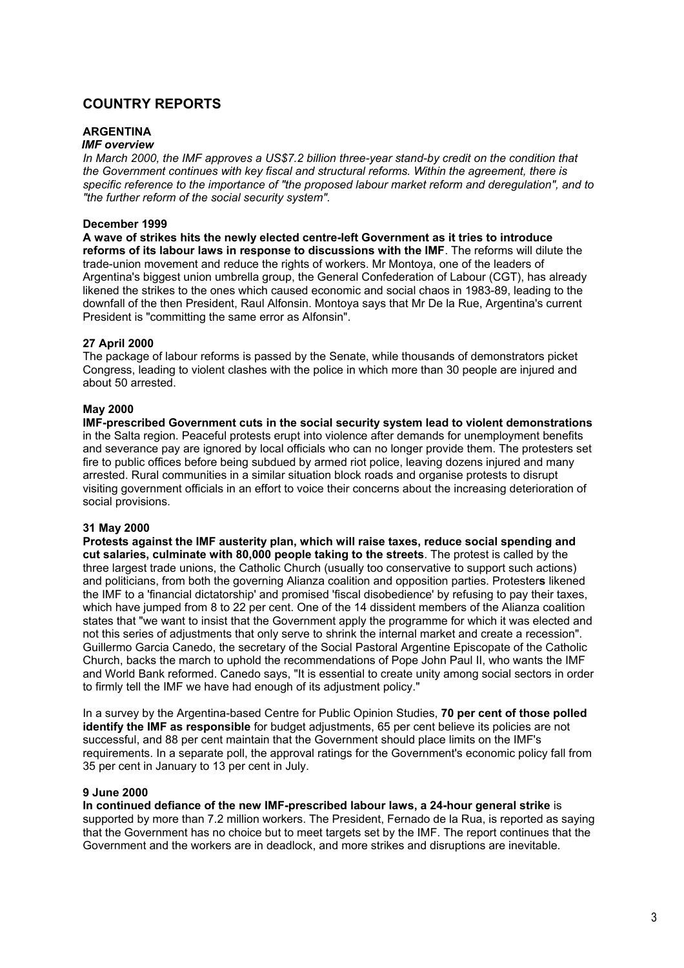## **COUNTRY REPORTS**

## **ARGENTINA**

#### *IMF overview*

*In March 2000, the IMF approves a US\$7.2 billion three-year stand-by credit on the condition that the Government continues with key fiscal and structural reforms. Within the agreement, there is specific reference to the importance of "the proposed labour market reform and deregulation", and to "the further reform of the social security system".*

## **December 1999**

**A wave of strikes hits the newly elected centre-left Government as it tries to introduce reforms of its labour laws in response to discussions with the IMF**. The reforms will dilute the trade-union movement and reduce the rights of workers. Mr Montoya, one of the leaders of Argentina's biggest union umbrella group, the General Confederation of Labour (CGT), has already likened the strikes to the ones which caused economic and social chaos in 1983-89, leading to the downfall of the then President, Raul Alfonsin. Montoya says that Mr De la Rue, Argentina's current President is "committing the same error as Alfonsin".

## **27 April 2000**

The package of labour reforms is passed by the Senate, while thousands of demonstrators picket Congress, leading to violent clashes with the police in which more than 30 people are injured and about 50 arrested.

## **May 2000**

**IMF-prescribed Government cuts in the social security system lead to violent demonstrations** in the Salta region. Peaceful protests erupt into violence after demands for unemployment benefits and severance pay are ignored by local officials who can no longer provide them. The protesters set fire to public offices before being subdued by armed riot police, leaving dozens injured and many arrested. Rural communities in a similar situation block roads and organise protests to disrupt visiting government officials in an effort to voice their concerns about the increasing deterioration of social provisions.

## **31 May 2000**

**Protests against the IMF austerity plan, which will raise taxes, reduce social spending and cut salaries, culminate with 80,000 people taking to the streets**. The protest is called by the three largest trade unions, the Catholic Church (usually too conservative to support such actions) and politicians, from both the governing Alianza coalition and opposition parties. Protester**s** likened the IMF to a 'financial dictatorship' and promised 'fiscal disobedience' by refusing to pay their taxes, which have jumped from 8 to 22 per cent. One of the 14 dissident members of the Alianza coalition states that "we want to insist that the Government apply the programme for which it was elected and not this series of adjustments that only serve to shrink the internal market and create a recession". Guillermo Garcia Canedo, the secretary of the Social Pastoral Argentine Episcopate of the Catholic Church, backs the march to uphold the recommendations of Pope John Paul II, who wants the IMF and World Bank reformed. Canedo says, "It is essential to create unity among social sectors in order to firmly tell the IMF we have had enough of its adjustment policy."

In a survey by the Argentina-based Centre for Public Opinion Studies, **70 per cent of those polled identify the IMF as responsible** for budget adjustments, 65 per cent believe its policies are not successful, and 88 per cent maintain that the Government should place limits on the IMF's requirements. In a separate poll, the approval ratings for the Government's economic policy fall from 35 per cent in January to 13 per cent in July.

## **9 June 2000**

**In continued defiance of the new IMF-prescribed labour laws, a 24-hour general strike** is supported by more than 7.2 million workers. The President, Fernado de la Rua, is reported as saying that the Government has no choice but to meet targets set by the IMF. The report continues that the Government and the workers are in deadlock, and more strikes and disruptions are inevitable.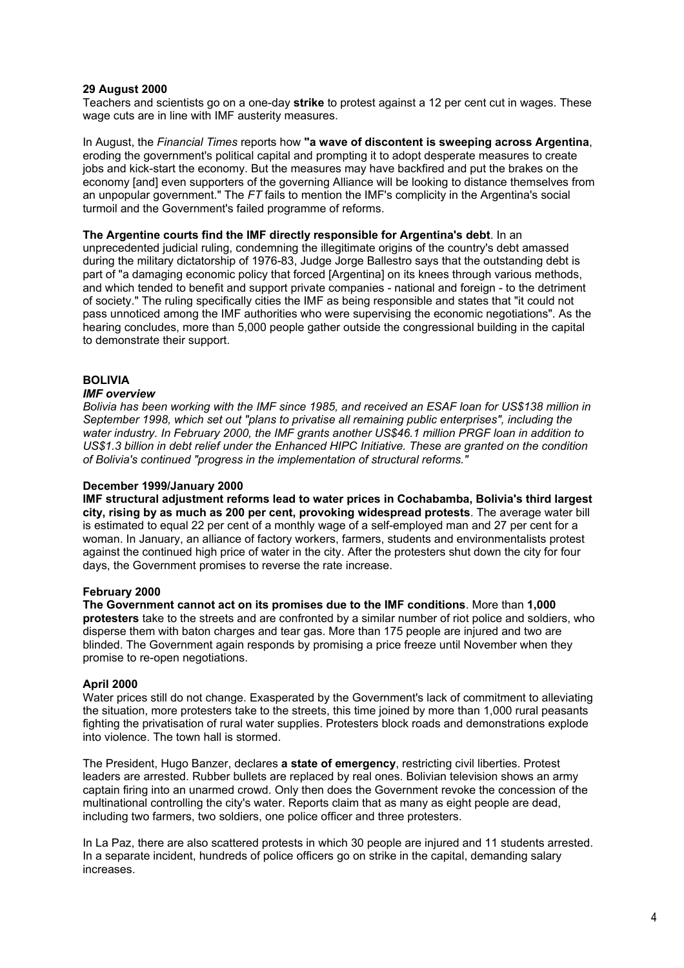### **29 August 2000**

Teachers and scientists go on a one-day **strike** to protest against a 12 per cent cut in wages. These wage cuts are in line with IMF austerity measures.

In August, the *Financial Times* reports how **"a wave of discontent is sweeping across Argentina**, eroding the government's political capital and prompting it to adopt desperate measures to create jobs and kick-start the economy. But the measures may have backfired and put the brakes on the economy [and] even supporters of the governing Alliance will be looking to distance themselves from an unpopular government." The *FT* fails to mention the IMF's complicity in the Argentina's social turmoil and the Government's failed programme of reforms.

## **The Argentine courts find the IMF directly responsible for Argentina's debt**. In an

unprecedented judicial ruling, condemning the illegitimate origins of the country's debt amassed during the military dictatorship of 1976-83, Judge Jorge Ballestro says that the outstanding debt is part of "a damaging economic policy that forced [Argentina] on its knees through various methods, and which tended to benefit and support private companies - national and foreign - to the detriment of society." The ruling specifically cities the IMF as being responsible and states that "it could not pass unnoticed among the IMF authorities who were supervising the economic negotiations". As the hearing concludes, more than 5,000 people gather outside the congressional building in the capital to demonstrate their support.

## **BOLIVIA**

#### *IMF overview*

*Bolivia has been working with the IMF since 1985, and received an ESAF loan for US\$138 million in September 1998, which set out "plans to privatise all remaining public enterprises", including the water industry. In February 2000, the IMF grants another US\$46.1 million PRGF loan in addition to US\$1.3 billion in debt relief under the Enhanced HIPC Initiative. These are granted on the condition of Bolivia's continued "progress in the implementation of structural reforms."* 

#### **December 1999/January 2000**

**IMF structural adjustment reforms lead to water prices in Cochabamba, Bolivia's third largest city, rising by as much as 200 per cent, provoking widespread protests**. The average water bill is estimated to equal 22 per cent of a monthly wage of a self-employed man and 27 per cent for a woman. In January, an alliance of factory workers, farmers, students and environmentalists protest against the continued high price of water in the city. After the protesters shut down the city for four days, the Government promises to reverse the rate increase.

#### **February 2000**

**The Government cannot act on its promises due to the IMF conditions**. More than **1,000 protesters** take to the streets and are confronted by a similar number of riot police and soldiers, who disperse them with baton charges and tear gas. More than 175 people are injured and two are blinded. The Government again responds by promising a price freeze until November when they promise to re-open negotiations.

#### **April 2000**

Water prices still do not change. Exasperated by the Government's lack of commitment to alleviating the situation, more protesters take to the streets, this time joined by more than 1,000 rural peasants fighting the privatisation of rural water supplies. Protesters block roads and demonstrations explode into violence. The town hall is stormed.

The President, Hugo Banzer, declares **a state of emergency**, restricting civil liberties. Protest leaders are arrested. Rubber bullets are replaced by real ones. Bolivian television shows an army captain firing into an unarmed crowd. Only then does the Government revoke the concession of the multinational controlling the city's water. Reports claim that as many as eight people are dead, including two farmers, two soldiers, one police officer and three protesters.

In La Paz, there are also scattered protests in which 30 people are injured and 11 students arrested. In a separate incident, hundreds of police officers go on strike in the capital, demanding salary increases.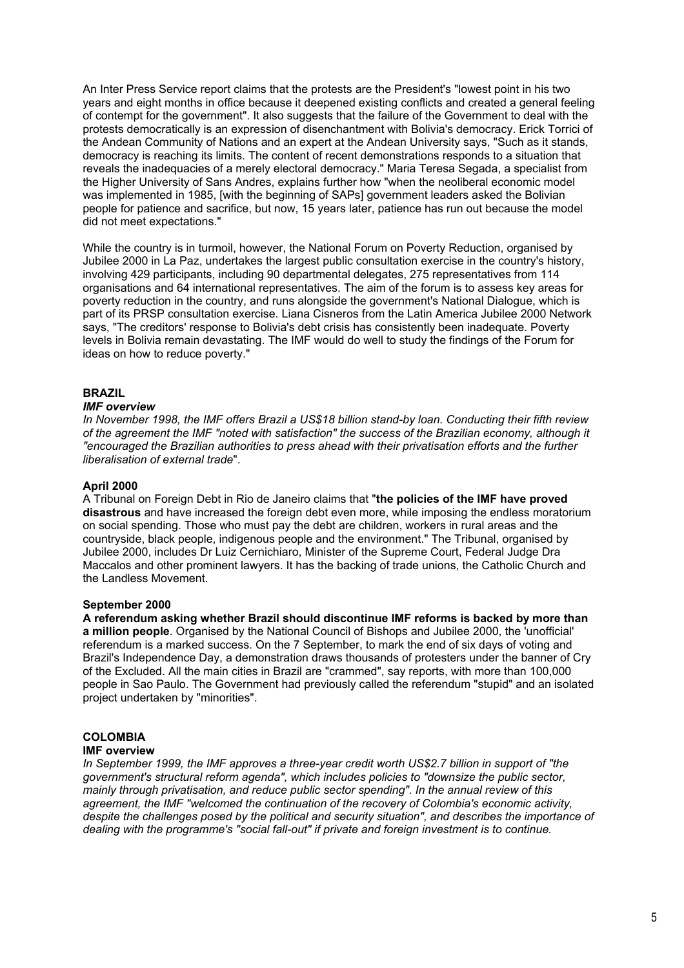An Inter Press Service report claims that the protests are the President's "lowest point in his two years and eight months in office because it deepened existing conflicts and created a general feeling of contempt for the government". It also suggests that the failure of the Government to deal with the protests democratically is an expression of disenchantment with Bolivia's democracy. Erick Torrici of the Andean Community of Nations and an expert at the Andean University says, "Such as it stands, democracy is reaching its limits. The content of recent demonstrations responds to a situation that reveals the inadequacies of a merely electoral democracy." Maria Teresa Segada, a specialist from the Higher University of Sans Andres, explains further how "when the neoliberal economic model was implemented in 1985, [with the beginning of SAPs] government leaders asked the Bolivian people for patience and sacrifice, but now, 15 years later, patience has run out because the model did not meet expectations."

While the country is in turmoil, however, the National Forum on Poverty Reduction, organised by Jubilee 2000 in La Paz, undertakes the largest public consultation exercise in the country's history, involving 429 participants, including 90 departmental delegates, 275 representatives from 114 organisations and 64 international representatives. The aim of the forum is to assess key areas for poverty reduction in the country, and runs alongside the government's National Dialogue, which is part of its PRSP consultation exercise. Liana Cisneros from the Latin America Jubilee 2000 Network says, "The creditors' response to Bolivia's debt crisis has consistently been inadequate. Poverty levels in Bolivia remain devastating. The IMF would do well to study the findings of the Forum for ideas on how to reduce poverty."

### **BRAZIL**

#### *IMF overview*

*In November 1998, the IMF offers Brazil a US\$18 billion stand-by loan. Conducting their fifth review of the agreement the IMF "noted with satisfaction" the success of the Brazilian economy, although it "encouraged the Brazilian authorities to press ahead with their privatisation efforts and the further liberalisation of external trade*".

#### **April 2000**

A Tribunal on Foreign Debt in Rio de Janeiro claims that "**the policies of the IMF have proved disastrous** and have increased the foreign debt even more, while imposing the endless moratorium on social spending. Those who must pay the debt are children, workers in rural areas and the countryside, black people, indigenous people and the environment." The Tribunal, organised by Jubilee 2000, includes Dr Luiz Cernichiaro, Minister of the Supreme Court, Federal Judge Dra Maccalos and other prominent lawyers. It has the backing of trade unions, the Catholic Church and the Landless Movement.

#### **September 2000**

**A referendum asking whether Brazil should discontinue IMF reforms is backed by more than a million people**. Organised by the National Council of Bishops and Jubilee 2000, the 'unofficial' referendum is a marked success. On the 7 September, to mark the end of six days of voting and Brazil's Independence Day, a demonstration draws thousands of protesters under the banner of Cry of the Excluded. All the main cities in Brazil are "crammed", say reports, with more than 100,000 people in Sao Paulo. The Government had previously called the referendum "stupid" and an isolated project undertaken by "minorities".

## **COLOMBIA**

#### **IMF overview**

*In September 1999, the IMF approves a three-year credit worth US\$2.7 billion in support of "the government's structural reform agenda", which includes policies to "downsize the public sector, mainly through privatisation, and reduce public sector spending". In the annual review of this agreement, the IMF "welcomed the continuation of the recovery of Colombia's economic activity, despite the challenges posed by the political and security situation", and describes the importance of dealing with the programme's "social fall-out" if private and foreign investment is to continue.*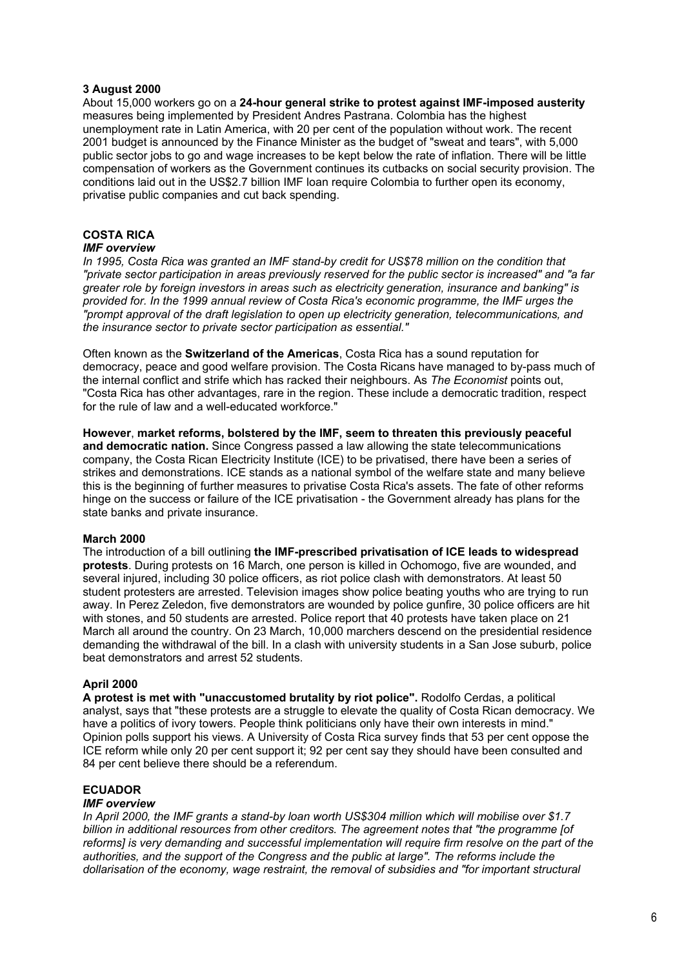#### **3 August 2000**

About 15,000 workers go on a **24-hour general strike to protest against IMF-imposed austerity** measures being implemented by President Andres Pastrana. Colombia has the highest unemployment rate in Latin America, with 20 per cent of the population without work. The recent 2001 budget is announced by the Finance Minister as the budget of "sweat and tears", with 5,000 public sector jobs to go and wage increases to be kept below the rate of inflation. There will be little compensation of workers as the Government continues its cutbacks on social security provision. The conditions laid out in the US\$2.7 billion IMF loan require Colombia to further open its economy, privatise public companies and cut back spending.

## **COSTA RICA**

#### *IMF overview*

*In 1995, Costa Rica was granted an IMF stand-by credit for US\$78 million on the condition that "private sector participation in areas previously reserved for the public sector is increased" and "a far greater role by foreign investors in areas such as electricity generation, insurance and banking" is provided for. In the 1999 annual review of Costa Rica's economic programme, the IMF urges the "prompt approval of the draft legislation to open up electricity generation, telecommunications, and the insurance sector to private sector participation as essential."* 

Often known as the **Switzerland of the Americas**, Costa Rica has a sound reputation for democracy, peace and good welfare provision. The Costa Ricans have managed to by-pass much of the internal conflict and strife which has racked their neighbours. As *The Economist* points out, "Costa Rica has other advantages, rare in the region. These include a democratic tradition, respect for the rule of law and a well-educated workforce."

**However**, **market reforms, bolstered by the IMF, seem to threaten this previously peaceful and democratic nation.** Since Congress passed a law allowing the state telecommunications company, the Costa Rican Electricity Institute (ICE) to be privatised, there have been a series of strikes and demonstrations. ICE stands as a national symbol of the welfare state and many believe this is the beginning of further measures to privatise Costa Rica's assets. The fate of other reforms hinge on the success or failure of the ICE privatisation - the Government already has plans for the state banks and private insurance.

#### **March 2000**

The introduction of a bill outlining **the IMF-prescribed privatisation of ICE leads to widespread protests**. During protests on 16 March, one person is killed in Ochomogo, five are wounded, and several injured, including 30 police officers, as riot police clash with demonstrators. At least 50 student protesters are arrested. Television images show police beating youths who are trying to run away. In Perez Zeledon, five demonstrators are wounded by police gunfire, 30 police officers are hit with stones, and 50 students are arrested. Police report that 40 protests have taken place on 21 March all around the country. On 23 March, 10,000 marchers descend on the presidential residence demanding the withdrawal of the bill. In a clash with university students in a San Jose suburb, police beat demonstrators and arrest 52 students.

#### **April 2000**

**A protest is met with "unaccustomed brutality by riot police".** Rodolfo Cerdas, a political analyst, says that "these protests are a struggle to elevate the quality of Costa Rican democracy. We have a politics of ivory towers. People think politicians only have their own interests in mind." Opinion polls support his views. A University of Costa Rica survey finds that 53 per cent oppose the ICE reform while only 20 per cent support it; 92 per cent say they should have been consulted and 84 per cent believe there should be a referendum.

#### **ECUADOR**

### *IMF overview*

*In April 2000, the IMF grants a stand-by loan worth US\$304 million which will mobilise over \$1.7 billion in additional resources from other creditors. The agreement notes that "the programme [of reforms] is very demanding and successful implementation will require firm resolve on the part of the authorities, and the support of the Congress and the public at large". The reforms include the dollarisation of the economy, wage restraint, the removal of subsidies and "for important structural*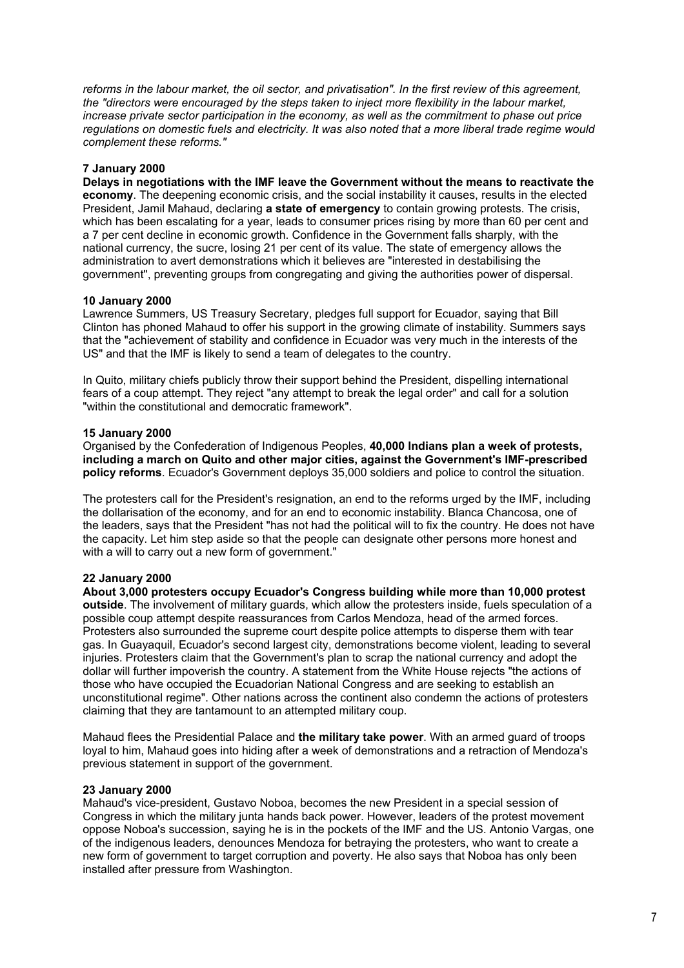*reforms in the labour market, the oil sector, and privatisation". In the first review of this agreement, the "directors were encouraged by the steps taken to inject more flexibility in the labour market, increase private sector participation in the economy, as well as the commitment to phase out price regulations on domestic fuels and electricity. It was also noted that a more liberal trade regime would complement these reforms."* 

## **7 January 2000**

**Delays in negotiations with the IMF leave the Government without the means to reactivate the economy**. The deepening economic crisis, and the social instability it causes, results in the elected President, Jamil Mahaud, declaring **a state of emergency** to contain growing protests. The crisis, which has been escalating for a year, leads to consumer prices rising by more than 60 per cent and a 7 per cent decline in economic growth. Confidence in the Government falls sharply, with the national currency, the sucre, losing 21 per cent of its value. The state of emergency allows the administration to avert demonstrations which it believes are "interested in destabilising the government", preventing groups from congregating and giving the authorities power of dispersal.

## **10 January 2000**

Lawrence Summers, US Treasury Secretary, pledges full support for Ecuador, saying that Bill Clinton has phoned Mahaud to offer his support in the growing climate of instability. Summers says that the "achievement of stability and confidence in Ecuador was very much in the interests of the US" and that the IMF is likely to send a team of delegates to the country.

In Quito, military chiefs publicly throw their support behind the President, dispelling international fears of a coup attempt. They reject "any attempt to break the legal order" and call for a solution "within the constitutional and democratic framework".

### **15 January 2000**

Organised by the Confederation of Indigenous Peoples, **40,000 Indians plan a week of protests, including a march on Quito and other major cities, against the Government's IMF-prescribed policy reforms**. Ecuador's Government deploys 35,000 soldiers and police to control the situation.

The protesters call for the President's resignation, an end to the reforms urged by the IMF, including the dollarisation of the economy, and for an end to economic instability. Blanca Chancosa, one of the leaders, says that the President "has not had the political will to fix the country. He does not have the capacity. Let him step aside so that the people can designate other persons more honest and with a will to carry out a new form of government."

## **22 January 2000**

**About 3,000 protesters occupy Ecuador's Congress building while more than 10,000 protest outside**. The involvement of military guards, which allow the protesters inside, fuels speculation of a possible coup attempt despite reassurances from Carlos Mendoza, head of the armed forces. Protesters also surrounded the supreme court despite police attempts to disperse them with tear gas. In Guayaquil, Ecuador's second largest city, demonstrations become violent, leading to several injuries. Protesters claim that the Government's plan to scrap the national currency and adopt the dollar will further impoverish the country. A statement from the White House rejects "the actions of those who have occupied the Ecuadorian National Congress and are seeking to establish an unconstitutional regime". Other nations across the continent also condemn the actions of protesters claiming that they are tantamount to an attempted military coup.

Mahaud flees the Presidential Palace and **the military take power**. With an armed guard of troops loyal to him, Mahaud goes into hiding after a week of demonstrations and a retraction of Mendoza's previous statement in support of the government.

## **23 January 2000**

Mahaud's vice-president, Gustavo Noboa, becomes the new President in a special session of Congress in which the military junta hands back power. However, leaders of the protest movement oppose Noboa's succession, saying he is in the pockets of the IMF and the US. Antonio Vargas, one of the indigenous leaders, denounces Mendoza for betraying the protesters, who want to create a new form of government to target corruption and poverty. He also says that Noboa has only been installed after pressure from Washington.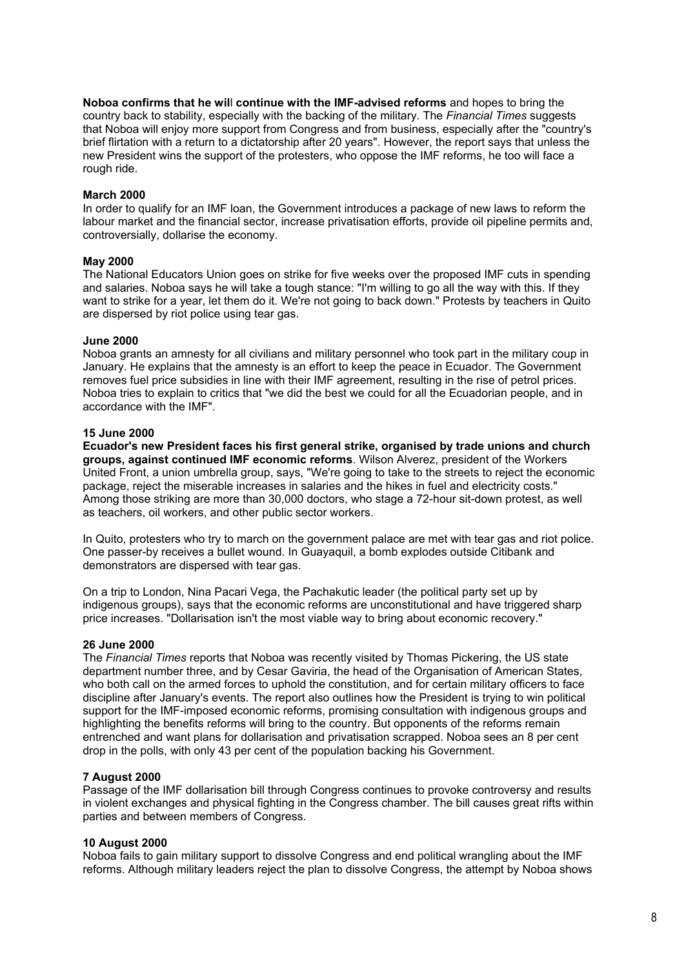**Noboa confirms that he wil**l **continue with the IMF-advised reforms** and hopes to bring the country back to stability, especially with the backing of the military. The *Financial Times* suggests that Noboa will enjoy more support from Congress and from business, especially after the "country's brief flirtation with a return to a dictatorship after 20 years". However, the report says that unless the new President wins the support of the protesters, who oppose the IMF reforms, he too will face a rough ride.

#### **March 2000**

In order to qualify for an IMF loan, the Government introduces a package of new laws to reform the labour market and the financial sector, increase privatisation efforts, provide oil pipeline permits and, controversially, dollarise the economy.

#### **May 2000**

The National Educators Union goes on strike for five weeks over the proposed IMF cuts in spending and salaries. Noboa says he will take a tough stance: "I'm willing to go all the way with this. If they want to strike for a year, let them do it. We're not going to back down." Protests by teachers in Quito are dispersed by riot police using tear gas.

#### **June 2000**

Noboa grants an amnesty for all civilians and military personnel who took part in the military coup in January. He explains that the amnesty is an effort to keep the peace in Ecuador. The Government removes fuel price subsidies in line with their IMF agreement, resulting in the rise of petrol prices. Noboa tries to explain to critics that "we did the best we could for all the Ecuadorian people, and in accordance with the IMF".

### **15 June 2000**

**Ecuador's new President faces his first general strike, organised by trade unions and church groups, against continued IMF economic reforms**. Wilson Alverez, president of the Workers United Front, a union umbrella group, says, "We're going to take to the streets to reject the economic package, reject the miserable increases in salaries and the hikes in fuel and electricity costs." Among those striking are more than 30,000 doctors, who stage a 72-hour sit-down protest, as well as teachers, oil workers, and other public sector workers.

In Quito, protesters who try to march on the government palace are met with tear gas and riot police. One passer-by receives a bullet wound. In Guayaquil, a bomb explodes outside Citibank and demonstrators are dispersed with tear gas.

On a trip to London, Nina Pacari Vega, the Pachakutic leader (the political party set up by indigenous groups), says that the economic reforms are unconstitutional and have triggered sharp price increases. "Dollarisation isn't the most viable way to bring about economic recovery."

#### **26 June 2000**

The *Financial Times* reports that Noboa was recently visited by Thomas Pickering, the US state department number three, and by Cesar Gaviria, the head of the Organisation of American States, who both call on the armed forces to uphold the constitution, and for certain military officers to face discipline after January's events. The report also outlines how the President is trying to win political support for the IMF-imposed economic reforms, promising consultation with indigenous groups and highlighting the benefits reforms will bring to the country. But opponents of the reforms remain entrenched and want plans for dollarisation and privatisation scrapped. Noboa sees an 8 per cent drop in the polls, with only 43 per cent of the population backing his Government.

## **7 August 2000**

Passage of the IMF dollarisation bill through Congress continues to provoke controversy and results in violent exchanges and physical fighting in the Congress chamber. The bill causes great rifts within parties and between members of Congress.

#### **10 August 2000**

Noboa fails to gain military support to dissolve Congress and end political wrangling about the IMF reforms. Although military leaders reject the plan to dissolve Congress, the attempt by Noboa shows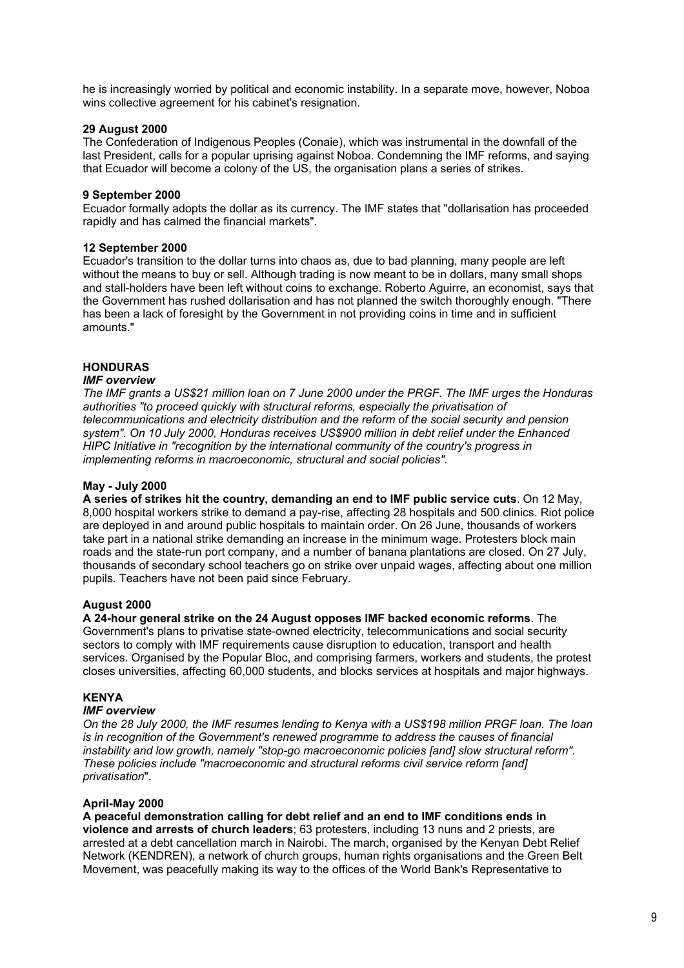he is increasingly worried by political and economic instability. In a separate move, however, Noboa wins collective agreement for his cabinet's resignation.

### **29 August 2000**

The Confederation of Indigenous Peoples (Conaie), which was instrumental in the downfall of the last President, calls for a popular uprising against Noboa. Condemning the IMF reforms, and saying that Ecuador will become a colony of the US, the organisation plans a series of strikes.

### **9 September 2000**

Ecuador formally adopts the dollar as its currency. The IMF states that "dollarisation has proceeded rapidly and has calmed the financial markets".

### **12 September 2000**

Ecuador's transition to the dollar turns into chaos as, due to bad planning, many people are left without the means to buy or sell. Although trading is now meant to be in dollars, many small shops and stall-holders have been left without coins to exchange. Roberto Aguirre, an economist, says that the Government has rushed dollarisation and has not planned the switch thoroughly enough. "There has been a lack of foresight by the Government in not providing coins in time and in sufficient amounts."

## **HONDURAS**

#### *IMF overview*

*The IMF grants a US\$21 million loan on 7 June 2000 under the PRGF. The IMF urges the Honduras authorities "to proceed quickly with structural reforms, especially the privatisation of telecommunications and electricity distribution and the reform of the social security and pension system". On 10 July 2000, Honduras receives US\$900 million in debt relief under the Enhanced HIPC Initiative in "recognition by the international community of the country's progress in implementing reforms in macroeconomic, structural and social policies".* 

#### **May - July 2000**

**A series of strikes hit the country, demanding an end to IMF public service cuts**. On 12 May, 8,000 hospital workers strike to demand a pay-rise, affecting 28 hospitals and 500 clinics. Riot police are deployed in and around public hospitals to maintain order. On 26 June, thousands of workers take part in a national strike demanding an increase in the minimum wage. Protesters block main roads and the state-run port company, and a number of banana plantations are closed. On 27 July, thousands of secondary school teachers go on strike over unpaid wages, affecting about one million pupils. Teachers have not been paid since February.

## **August 2000**

**A 24-hour general strike on the 24 August opposes IMF backed economic reforms**. The Government's plans to privatise state-owned electricity, telecommunications and social security sectors to comply with IMF requirements cause disruption to education, transport and health services. Organised by the Popular Bloc, and comprising farmers, workers and students, the protest closes universities, affecting 60,000 students, and blocks services at hospitals and major highways.

#### **KENYA**

#### *IMF overview*

*On the 28 July 2000, the IMF resumes lending to Kenya with a US\$198 million PRGF loan. The loan is in recognition of the Government's renewed programme to address the causes of financial instability and low growth, namely "stop-go macroeconomic policies [and] slow structural reform". These policies include "macroeconomic and structural reforms civil service reform [and] privatisation*".

## **April-May 2000**

**A peaceful demonstration calling for debt relief and an end to IMF conditions ends in violence and arrests of church leaders**; 63 protesters, including 13 nuns and 2 priests, are arrested at a debt cancellation march in Nairobi. The march, organised by the Kenyan Debt Relief Network (KENDREN), a network of church groups, human rights organisations and the Green Belt Movement, was peacefully making its way to the offices of the World Bank's Representative to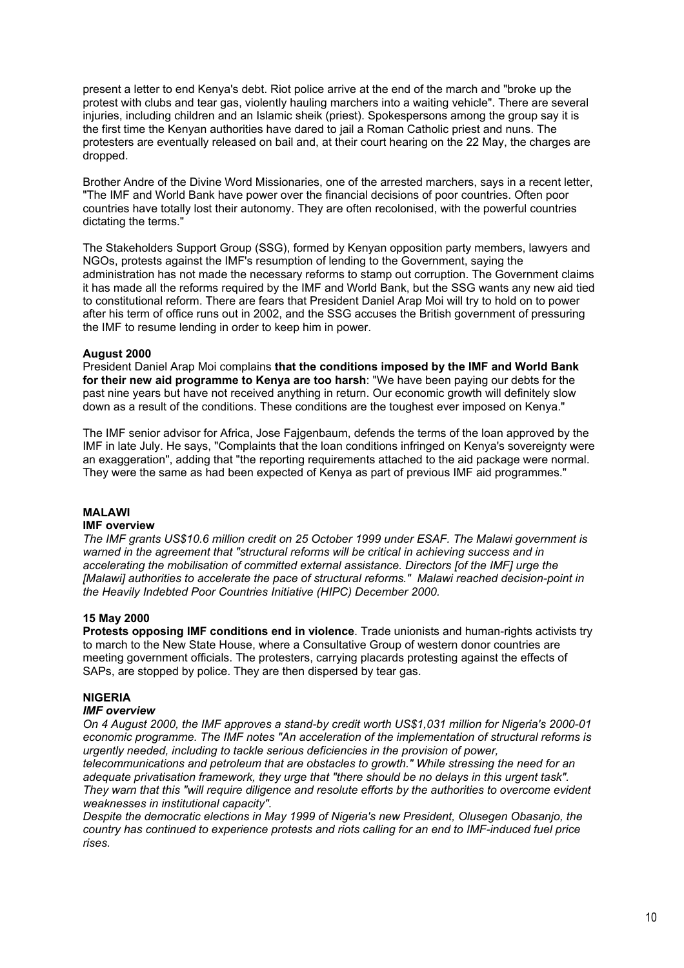present a letter to end Kenya's debt. Riot police arrive at the end of the march and "broke up the protest with clubs and tear gas, violently hauling marchers into a waiting vehicle". There are several injuries, including children and an Islamic sheik (priest). Spokespersons among the group say it is the first time the Kenyan authorities have dared to jail a Roman Catholic priest and nuns. The protesters are eventually released on bail and, at their court hearing on the 22 May, the charges are dropped.

Brother Andre of the Divine Word Missionaries, one of the arrested marchers, says in a recent letter, "The IMF and World Bank have power over the financial decisions of poor countries. Often poor countries have totally lost their autonomy. They are often recolonised, with the powerful countries dictating the terms."

The Stakeholders Support Group (SSG), formed by Kenyan opposition party members, lawyers and NGOs, protests against the IMF's resumption of lending to the Government, saying the administration has not made the necessary reforms to stamp out corruption. The Government claims it has made all the reforms required by the IMF and World Bank, but the SSG wants any new aid tied to constitutional reform. There are fears that President Daniel Arap Moi will try to hold on to power after his term of office runs out in 2002, and the SSG accuses the British government of pressuring the IMF to resume lending in order to keep him in power.

## **August 2000**

President Daniel Arap Moi complains **that the conditions imposed by the IMF and World Bank for their new aid programme to Kenya are too harsh**: "We have been paying our debts for the past nine years but have not received anything in return. Our economic growth will definitely slow down as a result of the conditions. These conditions are the toughest ever imposed on Kenya."

The IMF senior advisor for Africa, Jose Fajgenbaum, defends the terms of the loan approved by the IMF in late July. He says, "Complaints that the loan conditions infringed on Kenya's sovereignty were an exaggeration", adding that "the reporting requirements attached to the aid package were normal. They were the same as had been expected of Kenya as part of previous IMF aid programmes."

### **MALAWI**

#### **IMF overview**

*The IMF grants US\$10.6 million credit on 25 October 1999 under ESAF. The Malawi government is warned in the agreement that "structural reforms will be critical in achieving success and in accelerating the mobilisation of committed external assistance. Directors [of the IMF] urge the [Malawi] authorities to accelerate the pace of structural reforms." Malawi reached decision-point in the Heavily Indebted Poor Countries Initiative (HIPC) December 2000.* 

#### **15 May 2000**

**Protests opposing IMF conditions end in violence**. Trade unionists and human-rights activists try to march to the New State House, where a Consultative Group of western donor countries are meeting government officials. The protesters, carrying placards protesting against the effects of SAPs, are stopped by police. They are then dispersed by tear gas.

### **NIGERIA**

## *IMF overview*

*On 4 August 2000, the IMF approves a stand-by credit worth US\$1,031 million for Nigeria's 2000-01 economic programme. The IMF notes "An acceleration of the implementation of structural reforms is urgently needed, including to tackle serious deficiencies in the provision of power,* 

*telecommunications and petroleum that are obstacles to growth." While stressing the need for an adequate privatisation framework, they urge that "there should be no delays in this urgent task". They warn that this "will require diligence and resolute efforts by the authorities to overcome evident weaknesses in institutional capacity".* 

*Despite the democratic elections in May 1999 of Nigeria's new President, Olusegen Obasanjo, the country has continued to experience protests and riots calling for an end to IMF-induced fuel price rises.*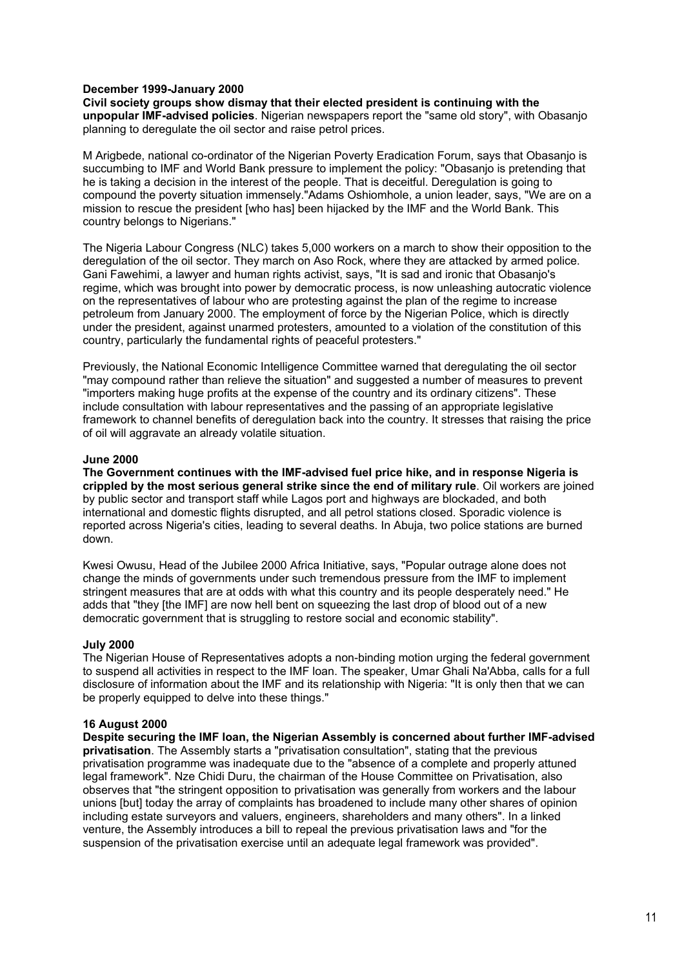### **December 1999-January 2000**

**Civil society groups show dismay that their elected president is continuing with the unpopular IMF-advised policies**. Nigerian newspapers report the "same old story", with Obasanjo planning to deregulate the oil sector and raise petrol prices.

M Arigbede, national co-ordinator of the Nigerian Poverty Eradication Forum, says that Obasanjo is succumbing to IMF and World Bank pressure to implement the policy: "Obasanjo is pretending that he is taking a decision in the interest of the people. That is deceitful. Deregulation is going to compound the poverty situation immensely."Adams Oshiomhole, a union leader, says, "We are on a mission to rescue the president [who has] been hijacked by the IMF and the World Bank. This country belongs to Nigerians."

The Nigeria Labour Congress (NLC) takes 5,000 workers on a march to show their opposition to the deregulation of the oil sector. They march on Aso Rock, where they are attacked by armed police. Gani Fawehimi, a lawyer and human rights activist, says, "It is sad and ironic that Obasanjo's regime, which was brought into power by democratic process, is now unleashing autocratic violence on the representatives of labour who are protesting against the plan of the regime to increase petroleum from January 2000. The employment of force by the Nigerian Police, which is directly under the president, against unarmed protesters, amounted to a violation of the constitution of this country, particularly the fundamental rights of peaceful protesters."

Previously, the National Economic Intelligence Committee warned that deregulating the oil sector "may compound rather than relieve the situation" and suggested a number of measures to prevent "importers making huge profits at the expense of the country and its ordinary citizens". These include consultation with labour representatives and the passing of an appropriate legislative framework to channel benefits of deregulation back into the country. It stresses that raising the price of oil will aggravate an already volatile situation.

### **June 2000**

**The Government continues with the IMF-advised fuel price hike, and in response Nigeria is crippled by the most serious general strike since the end of military rule**. Oil workers are joined by public sector and transport staff while Lagos port and highways are blockaded, and both international and domestic flights disrupted, and all petrol stations closed. Sporadic violence is reported across Nigeria's cities, leading to several deaths. In Abuja, two police stations are burned down.

Kwesi Owusu, Head of the Jubilee 2000 Africa Initiative, says, "Popular outrage alone does not change the minds of governments under such tremendous pressure from the IMF to implement stringent measures that are at odds with what this country and its people desperately need." He adds that "they [the IMF] are now hell bent on squeezing the last drop of blood out of a new democratic government that is struggling to restore social and economic stability".

## **July 2000**

The Nigerian House of Representatives adopts a non-binding motion urging the federal government to suspend all activities in respect to the IMF loan. The speaker, Umar Ghali Na'Abba, calls for a full disclosure of information about the IMF and its relationship with Nigeria: "It is only then that we can be properly equipped to delve into these things."

## **16 August 2000**

**Despite securing the IMF loan, the Nigerian Assembly is concerned about further IMF-advised privatisation**. The Assembly starts a "privatisation consultation", stating that the previous privatisation programme was inadequate due to the "absence of a complete and properly attuned legal framework". Nze Chidi Duru, the chairman of the House Committee on Privatisation, also observes that "the stringent opposition to privatisation was generally from workers and the labour unions [but] today the array of complaints has broadened to include many other shares of opinion including estate surveyors and valuers, engineers, shareholders and many others". In a linked venture, the Assembly introduces a bill to repeal the previous privatisation laws and "for the suspension of the privatisation exercise until an adequate legal framework was provided".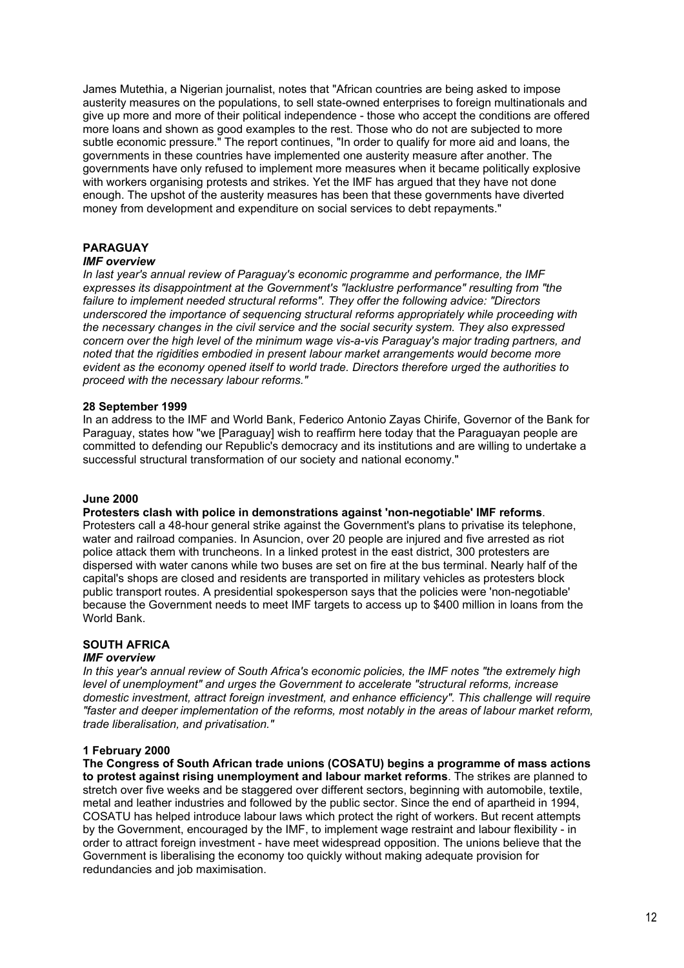James Mutethia, a Nigerian journalist, notes that "African countries are being asked to impose austerity measures on the populations, to sell state-owned enterprises to foreign multinationals and give up more and more of their political independence - those who accept the conditions are offered more loans and shown as good examples to the rest. Those who do not are subjected to more subtle economic pressure." The report continues, "In order to qualify for more aid and loans, the governments in these countries have implemented one austerity measure after another. The governments have only refused to implement more measures when it became politically explosive with workers organising protests and strikes. Yet the IMF has argued that they have not done enough. The upshot of the austerity measures has been that these governments have diverted money from development and expenditure on social services to debt repayments."

## **PARAGUAY**

#### *IMF overview*

*In last year's annual review of Paraguay's economic programme and performance, the IMF expresses its disappointment at the Government's "lacklustre performance" resulting from "the failure to implement needed structural reforms". They offer the following advice: "Directors underscored the importance of sequencing structural reforms appropriately while proceeding with the necessary changes in the civil service and the social security system. They also expressed concern over the high level of the minimum wage vis-a-vis Paraguay's major trading partners, and noted that the rigidities embodied in present labour market arrangements would become more evident as the economy opened itself to world trade. Directors therefore urged the authorities to proceed with the necessary labour reforms."* 

### **28 September 1999**

In an address to the IMF and World Bank, Federico Antonio Zayas Chirife, Governor of the Bank for Paraguay, states how "we [Paraguay] wish to reaffirm here today that the Paraguayan people are committed to defending our Republic's democracy and its institutions and are willing to undertake a successful structural transformation of our society and national economy."

## **June 2000**

**Protesters clash with police in demonstrations against 'non-negotiable' IMF reforms**. Protesters call a 48-hour general strike against the Government's plans to privatise its telephone, water and railroad companies. In Asuncion, over 20 people are injured and five arrested as riot police attack them with truncheons. In a linked protest in the east district, 300 protesters are dispersed with water canons while two buses are set on fire at the bus terminal. Nearly half of the capital's shops are closed and residents are transported in military vehicles as protesters block public transport routes. A presidential spokesperson says that the policies were 'non-negotiable' because the Government needs to meet IMF targets to access up to \$400 million in loans from the World Bank.

#### **SOUTH AFRICA** *IMF overview*

*In this year's annual review of South Africa's economic policies, the IMF notes "the extremely high level of unemployment" and urges the Government to accelerate "structural reforms, increase domestic investment, attract foreign investment, and enhance efficiency". This challenge will require "faster and deeper implementation of the reforms, most notably in the areas of labour market reform, trade liberalisation, and privatisation."* 

## **1 February 2000**

**The Congress of South African trade unions (COSATU) begins a programme of mass actions to protest against rising unemployment and labour market reforms**. The strikes are planned to stretch over five weeks and be staggered over different sectors, beginning with automobile, textile, metal and leather industries and followed by the public sector. Since the end of apartheid in 1994, COSATU has helped introduce labour laws which protect the right of workers. But recent attempts by the Government, encouraged by the IMF, to implement wage restraint and labour flexibility - in order to attract foreign investment - have meet widespread opposition. The unions believe that the Government is liberalising the economy too quickly without making adequate provision for redundancies and job maximisation.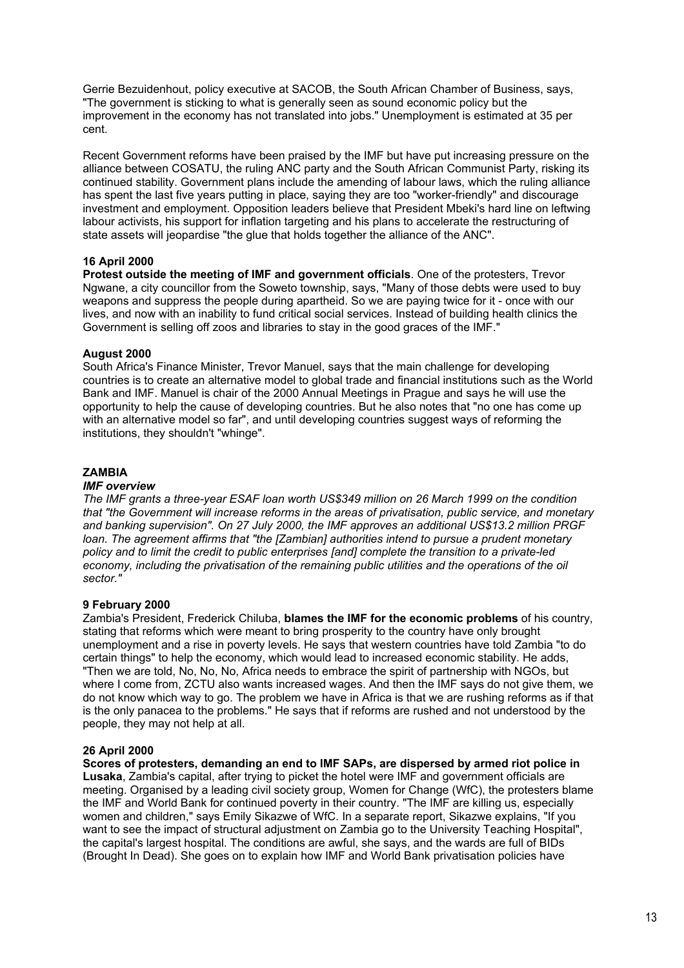Gerrie Bezuidenhout, policy executive at SACOB, the South African Chamber of Business, says, "The government is sticking to what is generally seen as sound economic policy but the improvement in the economy has not translated into jobs." Unemployment is estimated at 35 per cent.

Recent Government reforms have been praised by the IMF but have put increasing pressure on the alliance between COSATU, the ruling ANC party and the South African Communist Party, risking its continued stability. Government plans include the amending of labour laws, which the ruling alliance has spent the last five years putting in place, saying they are too "worker-friendly" and discourage investment and employment. Opposition leaders believe that President Mbeki's hard line on leftwing labour activists, his support for inflation targeting and his plans to accelerate the restructuring of state assets will jeopardise "the glue that holds together the alliance of the ANC".

## **16 April 2000**

**Protest outside the meeting of IMF and government officials**. One of the protesters, Trevor Ngwane, a city councillor from the Soweto township, says, "Many of those debts were used to buy weapons and suppress the people during apartheid. So we are paying twice for it - once with our lives, and now with an inability to fund critical social services. Instead of building health clinics the Government is selling off zoos and libraries to stay in the good graces of the IMF."

### **August 2000**

South Africa's Finance Minister, Trevor Manuel, says that the main challenge for developing countries is to create an alternative model to global trade and financial institutions such as the World Bank and IMF. Manuel is chair of the 2000 Annual Meetings in Prague and says he will use the opportunity to help the cause of developing countries. But he also notes that "no one has come up with an alternative model so far", and until developing countries suggest ways of reforming the institutions, they shouldn't "whinge".

### **ZAMBIA**

#### *IMF overview*

*The IMF grants a three-year ESAF loan worth US\$349 million on 26 March 1999 on the condition that "the Government will increase reforms in the areas of privatisation, public service, and monetary and banking supervision". On 27 July 2000, the IMF approves an additional US\$13.2 million PRGF loan. The agreement affirms that "the [Zambian] authorities intend to pursue a prudent monetary policy and to limit the credit to public enterprises [and] complete the transition to a private-led economy, including the privatisation of the remaining public utilities and the operations of the oil sector."*

#### **9 February 2000**

Zambia's President, Frederick Chiluba, **blames the IMF for the economic problems** of his country, stating that reforms which were meant to bring prosperity to the country have only brought unemployment and a rise in poverty levels. He says that western countries have told Zambia "to do certain things" to help the economy, which would lead to increased economic stability. He adds, "Then we are told, No, No, No, Africa needs to embrace the spirit of partnership with NGOs, but where I come from, ZCTU also wants increased wages. And then the IMF says do not give them, we do not know which way to go. The problem we have in Africa is that we are rushing reforms as if that is the only panacea to the problems." He says that if reforms are rushed and not understood by the people, they may not help at all.

#### **26 April 2000**

**Scores of protesters, demanding an end to IMF SAPs, are dispersed by armed riot police in Lusaka**, Zambia's capital, after trying to picket the hotel were IMF and government officials are meeting. Organised by a leading civil society group, Women for Change (WfC), the protesters blame the IMF and World Bank for continued poverty in their country. "The IMF are killing us, especially women and children," says Emily Sikazwe of WfC. In a separate report, Sikazwe explains, "If you want to see the impact of structural adjustment on Zambia go to the University Teaching Hospital", the capital's largest hospital. The conditions are awful, she says, and the wards are full of BIDs (Brought In Dead). She goes on to explain how IMF and World Bank privatisation policies have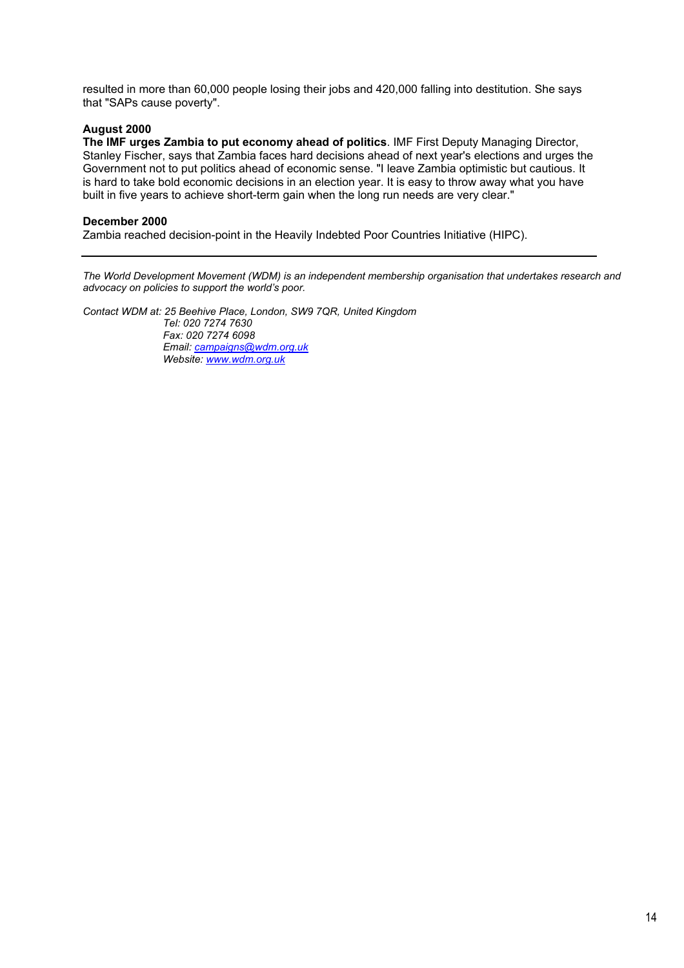resulted in more than 60,000 people losing their jobs and 420,000 falling into destitution. She says that "SAPs cause poverty".

## **August 2000**

**The IMF urges Zambia to put economy ahead of politics**. IMF First Deputy Managing Director, Stanley Fischer, says that Zambia faces hard decisions ahead of next year's elections and urges the Government not to put politics ahead of economic sense. "I leave Zambia optimistic but cautious. It is hard to take bold economic decisions in an election year. It is easy to throw away what you have built in five years to achieve short-term gain when the long run needs are very clear."

## **December 2000**

Zambia reached decision-point in the Heavily Indebted Poor Countries Initiative (HIPC).

*The World Development Movement (WDM) is an independent membership organisation that undertakes research and advocacy on policies to support the world's poor.* 

*Contact WDM at: 25 Beehive Place, London, SW9 7QR, United Kingdom Tel: 020 7274 7630 Fax: 020 7274 6098 Email: [campaigns@wdm.org.uk](mailto:campaigns@wdm.org.uk) Website: [www.wdm.org.uk](http://www.wdm.org.uk/)*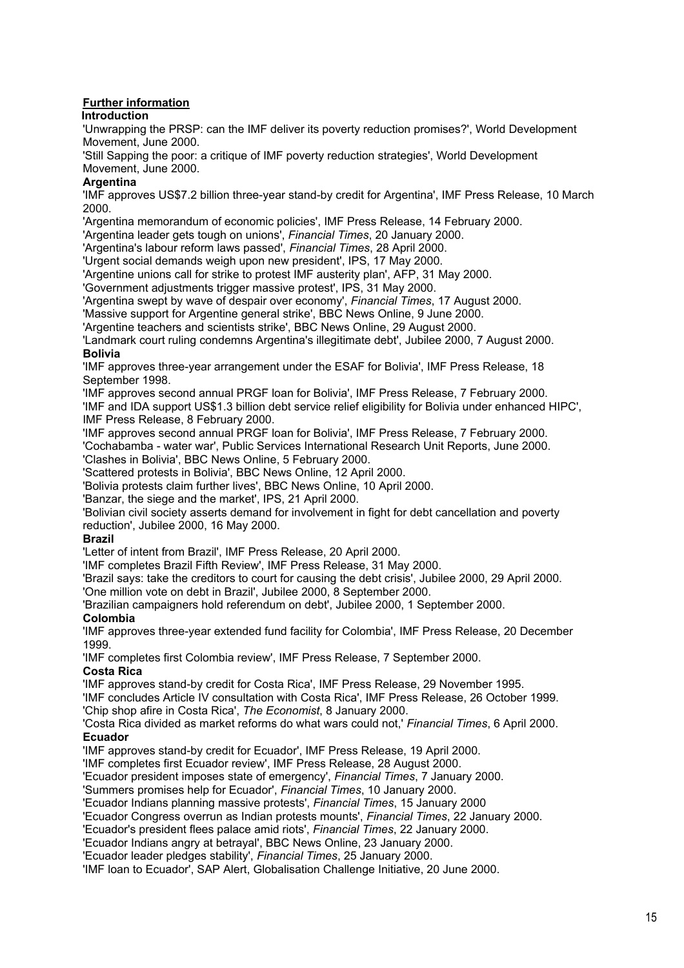## **Further information**

## **Introduction**

'Unwrapping the PRSP: can the IMF deliver its poverty reduction promises?', World Development Movement, June 2000.

'Still Sapping the poor: a critique of IMF poverty reduction strategies', World Development Movement, June 2000.

## **Argentina**

'IMF approves US\$7.2 billion three-year stand-by credit for Argentina', IMF Press Release, 10 March 2000.

'Argentina memorandum of economic policies', IMF Press Release, 14 February 2000.

'Argentina leader gets tough on unions', *Financial Times*, 20 January 2000.

'Argentina's labour reform laws passed', *Financial Times*, 28 April 2000.

'Urgent social demands weigh upon new president', IPS, 17 May 2000.

'Argentine unions call for strike to protest IMF austerity plan', AFP, 31 May 2000.

'Government adjustments trigger massive protest', IPS, 31 May 2000.

'Argentina swept by wave of despair over economy', *Financial Times*, 17 August 2000.

'Massive support for Argentine general strike', BBC News Online, 9 June 2000.

'Argentine teachers and scientists strike', BBC News Online, 29 August 2000.

'Landmark court ruling condemns Argentina's illegitimate debt', Jubilee 2000, 7 August 2000. **Bolivia** 

'IMF approves three-year arrangement under the ESAF for Bolivia', IMF Press Release, 18 September 1998.

'IMF approves second annual PRGF loan for Bolivia', IMF Press Release, 7 February 2000.

'IMF and IDA support US\$1.3 billion debt service relief eligibility for Bolivia under enhanced HIPC', IMF Press Release, 8 February 2000.

'IMF approves second annual PRGF loan for Bolivia', IMF Press Release, 7 February 2000. 'Cochabamba - water war', Public Services International Research Unit Reports, June 2000. 'Clashes in Bolivia', BBC News Online, 5 February 2000.

'Scattered protests in Bolivia', BBC News Online, 12 April 2000.

'Bolivia protests claim further lives', BBC News Online, 10 April 2000.

'Banzar, the siege and the market', IPS, 21 April 2000.

'Bolivian civil society asserts demand for involvement in fight for debt cancellation and poverty reduction', Jubilee 2000, 16 May 2000.

## **Brazil**

'Letter of intent from Brazil', IMF Press Release, 20 April 2000.

'IMF completes Brazil Fifth Review', IMF Press Release, 31 May 2000.

'Brazil says: take the creditors to court for causing the debt crisis', Jubilee 2000, 29 April 2000.

'One million vote on debt in Brazil', Jubilee 2000, 8 September 2000.

'Brazilian campaigners hold referendum on debt', Jubilee 2000, 1 September 2000.

## **Colombia**

'IMF approves three-year extended fund facility for Colombia', IMF Press Release, 20 December 1999.

'IMF completes first Colombia review', IMF Press Release, 7 September 2000.

## **Costa Rica**

'IMF approves stand-by credit for Costa Rica', IMF Press Release, 29 November 1995. 'IMF concludes Article IV consultation with Costa Rica', IMF Press Release, 26 October 1999.

'Chip shop afire in Costa Rica', *The Economist*, 8 January 2000.

'Costa Rica divided as market reforms do what wars could not,' *Financial Times*, 6 April 2000. **Ecuador** 

'IMF approves stand-by credit for Ecuador', IMF Press Release, 19 April 2000.

'IMF completes first Ecuador review', IMF Press Release, 28 August 2000.

'Ecuador president imposes state of emergency', *Financial Times*, 7 January 2000.

'Summers promises help for Ecuador', *Financial Times*, 10 January 2000.

'Ecuador Indians planning massive protests', *Financial Times*, 15 January 2000

'Ecuador Congress overrun as Indian protests mounts', *Financial Times*, 22 January 2000.

'Ecuador's president flees palace amid riots', *Financial Times*, 22 January 2000.

'Ecuador Indians angry at betrayal', BBC News Online, 23 January 2000.

'Ecuador leader pledges stability', *Financial Times*, 25 January 2000.

'IMF loan to Ecuador', SAP Alert, Globalisation Challenge Initiative, 20 June 2000.